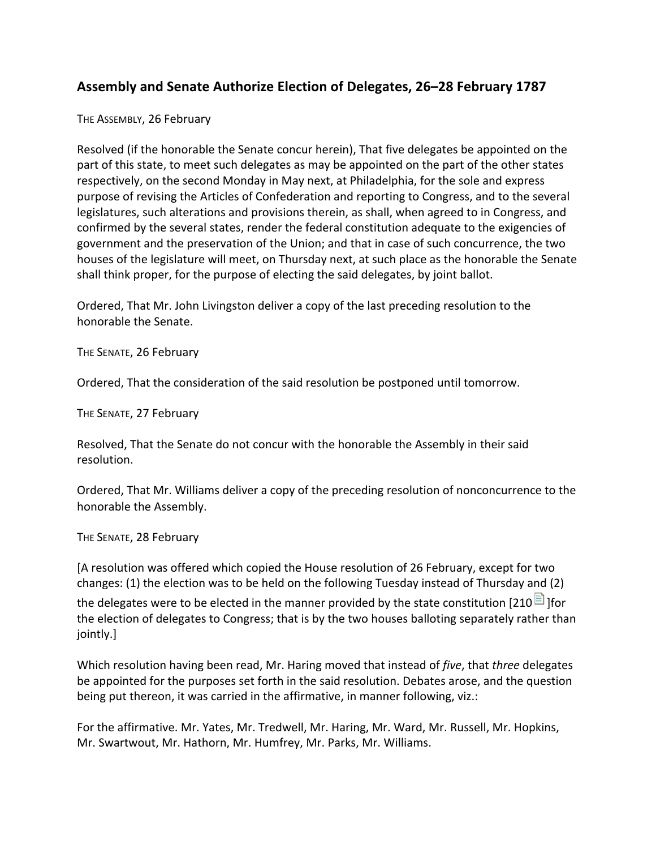## Assembly and Senate Authorize Election of Delegates, 26–28 February 1787

## THE ASSEMBLY, 26 February

Resolved (if the honorable the Senate concur herein), That five delegates be appointed on the part of this state, to meet such delegates as may be appointed on the part of the other states respectively, on the second Monday in May next, at Philadelphia, for the sole and express purpose of revising the Articles of Confederation and reporting to Congress, and to the several legislatures, such alterations and provisions therein, as shall, when agreed to in Congress, and confirmed by the several states, render the federal constitution adequate to the exigencies of government and the preservation of the Union; and that in case of such concurrence, the two houses of the legislature will meet, on Thursday next, at such place as the honorable the Senate shall think proper, for the purpose of electing the said delegates, by joint ballot.

Ordered, That Mr. John Livingston deliver a copy of the last preceding resolution to the honorable the Senate.

THE SENATE, 26 February

Ordered, That the consideration of the said resolution be postponed until tomorrow.

THE SENATE, 27 February

Resolved, That the Senate do not concur with the honorable the Assembly in their said resolution.

Ordered, That Mr. Williams deliver a copy of the preceding resolution of nonconcurrence to the honorable the Assembly.

## THE SENATE, 28 February

[A resolution was offered which copied the House resolution of 26 February, except for two changes: (1) the election was to be held on the following Tuesday instead of Thursday and (2) the delegates were to be elected in the manner provided by the state constitution [210  $\blacksquare$ ] [for the election of delegates to Congress; that is by the two houses balloting separately rather than jointly.]

Which resolution having been read, Mr. Haring moved that instead of *five*, that *three* delegates be appointed for the purposes set forth in the said resolution. Debates arose, and the question being put thereon, it was carried in the affirmative, in manner following, viz.:

For the affirmative. Mr. Yates, Mr. Tredwell, Mr. Haring, Mr. Ward, Mr. Russell, Mr. Hopkins, Mr. Swartwout, Mr. Hathorn, Mr. Humfrey, Mr. Parks, Mr. Williams.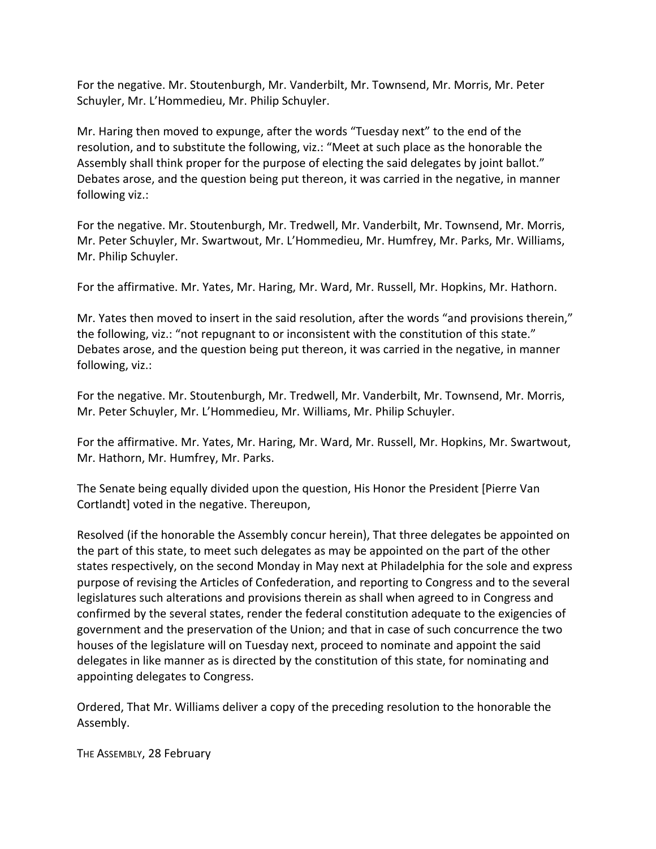For the negative. Mr. Stoutenburgh, Mr. Vanderbilt, Mr. Townsend, Mr. Morris, Mr. Peter Schuyler, Mr. L'Hommedieu, Mr. Philip Schuyler.

Mr. Haring then moved to expunge, after the words "Tuesday next" to the end of the resolution, and to substitute the following, viz.: "Meet at such place as the honorable the Assembly shall think proper for the purpose of electing the said delegates by joint ballot." Debates arose, and the question being put thereon, it was carried in the negative, in manner following viz.:

For the negative. Mr. Stoutenburgh, Mr. Tredwell, Mr. Vanderbilt, Mr. Townsend, Mr. Morris, Mr. Peter Schuyler, Mr. Swartwout, Mr. L'Hommedieu, Mr. Humfrey, Mr. Parks, Mr. Williams, Mr. Philip Schuyler.

For the affirmative. Mr. Yates, Mr. Haring, Mr. Ward, Mr. Russell, Mr. Hopkins, Mr. Hathorn.

Mr. Yates then moved to insert in the said resolution, after the words "and provisions therein," the following, viz.: "not repugnant to or inconsistent with the constitution of this state." Debates arose, and the question being put thereon, it was carried in the negative, in manner following, viz.:

For the negative. Mr. Stoutenburgh, Mr. Tredwell, Mr. Vanderbilt, Mr. Townsend, Mr. Morris, Mr. Peter Schuyler, Mr. L'Hommedieu, Mr. Williams, Mr. Philip Schuyler.

For the affirmative. Mr. Yates, Mr. Haring, Mr. Ward, Mr. Russell, Mr. Hopkins, Mr. Swartwout, Mr. Hathorn, Mr. Humfrey, Mr. Parks.

The Senate being equally divided upon the question, His Honor the President [Pierre Van Cortlandt] voted in the negative. Thereupon,

Resolved (if the honorable the Assembly concur herein), That three delegates be appointed on the part of this state, to meet such delegates as may be appointed on the part of the other states respectively, on the second Monday in May next at Philadelphia for the sole and express purpose of revising the Articles of Confederation, and reporting to Congress and to the several legislatures such alterations and provisions therein as shall when agreed to in Congress and confirmed by the several states, render the federal constitution adequate to the exigencies of government and the preservation of the Union; and that in case of such concurrence the two houses of the legislature will on Tuesday next, proceed to nominate and appoint the said delegates in like manner as is directed by the constitution of this state, for nominating and appointing delegates to Congress.

Ordered, That Mr. Williams deliver a copy of the preceding resolution to the honorable the Assembly.

THE ASSEMBLY, 28 February